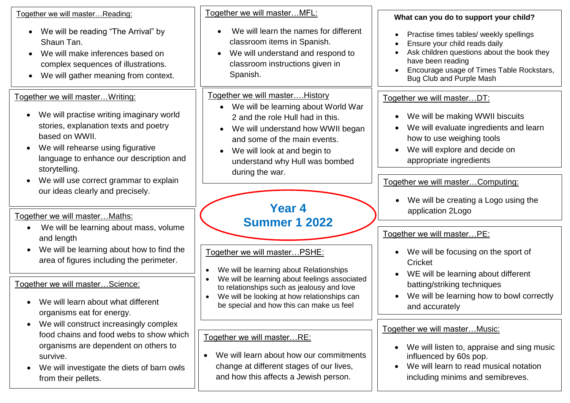| Together we will master Reading:                                                          | Together we will masterMFL:                                                                              | What can you do to support your child?                                                  |
|-------------------------------------------------------------------------------------------|----------------------------------------------------------------------------------------------------------|-----------------------------------------------------------------------------------------|
| We will be reading "The Arrival" by<br>$\bullet$<br>Shaun Tan.                            | We will learn the names for different<br>$\bullet$<br>classroom items in Spanish.                        | Practise times tables/ weekly spellings<br>Ensure your child reads daily<br>$\bullet$   |
| We will make inferences based on                                                          | We will understand and respond to                                                                        | Ask children questions about the book they                                              |
| complex sequences of illustrations.                                                       | classroom instructions given in                                                                          | have been reading<br>Encourage usage of Times Table Rockstars,                          |
| We will gather meaning from context.<br>$\bullet$                                         | Spanish.                                                                                                 | <b>Bug Club and Purple Mash</b>                                                         |
| Together we will master Writing:                                                          | Together we will master History                                                                          | Together we will masterDT:                                                              |
| We will practise writing imaginary world<br>$\bullet$                                     | We will be learning about World War<br>2 and the role Hull had in this.                                  | We will be making WWII biscuits<br>$\bullet$                                            |
| stories, explanation texts and poetry                                                     | We will understand how WWII began<br>$\bullet$                                                           | We will evaluate ingredients and learn                                                  |
| based on WWII.                                                                            | and some of the main events.                                                                             | how to use weighing tools                                                               |
| We will rehearse using figurative<br>$\bullet$<br>language to enhance our description and | We will look at and begin to<br>understand why Hull was bombed                                           | We will explore and decide on<br>appropriate ingredients                                |
| storytelling.                                                                             | during the war.                                                                                          |                                                                                         |
| We will use correct grammar to explain                                                    |                                                                                                          | Together we will master Computing:                                                      |
| our ideas clearly and precisely.                                                          |                                                                                                          | We will be creating a Logo using the                                                    |
| Together we will master Maths:                                                            | Year 4                                                                                                   | application 2Logo                                                                       |
| We will be learning about mass, volume                                                    | <b>Summer 1 2022</b>                                                                                     | Together we will masterPE:                                                              |
| and length                                                                                |                                                                                                          |                                                                                         |
| We will be learning about how to find the<br>area of figures including the perimeter.     | Together we will master PSHE:                                                                            | We will be focusing on the sport of<br>Cricket                                          |
|                                                                                           | We will be learning about Relationships                                                                  | WE will be learning about different<br>$\bullet$                                        |
| Together we will masterScience:                                                           | We will be learning about feelings associated<br>$\bullet$<br>to relationships such as jealousy and love | batting/striking techniques                                                             |
| We will learn about what different<br>$\bullet$                                           | We will be looking at how relationships can<br>be special and how this can make us feel                  | We will be learning how to bowl correctly                                               |
| organisms eat for energy.                                                                 |                                                                                                          | and accurately                                                                          |
| We will construct increasingly complex<br>food chains and food webs to show which         |                                                                                                          | Together we will master Music:                                                          |
| organisms are dependent on others to                                                      | Together we will masterRE:                                                                               | We will listen to, appraise and sing music<br>$\bullet$                                 |
| survive.                                                                                  | We will learn about how our commitments<br>$\bullet$                                                     | influenced by 60s pop.                                                                  |
| We will investigate the diets of barn owls                                                | change at different stages of our lives,<br>and how this affects a Jewish person.                        | We will learn to read musical notation<br>$\bullet$<br>including minims and semibreves. |
| from their pellets.                                                                       |                                                                                                          |                                                                                         |